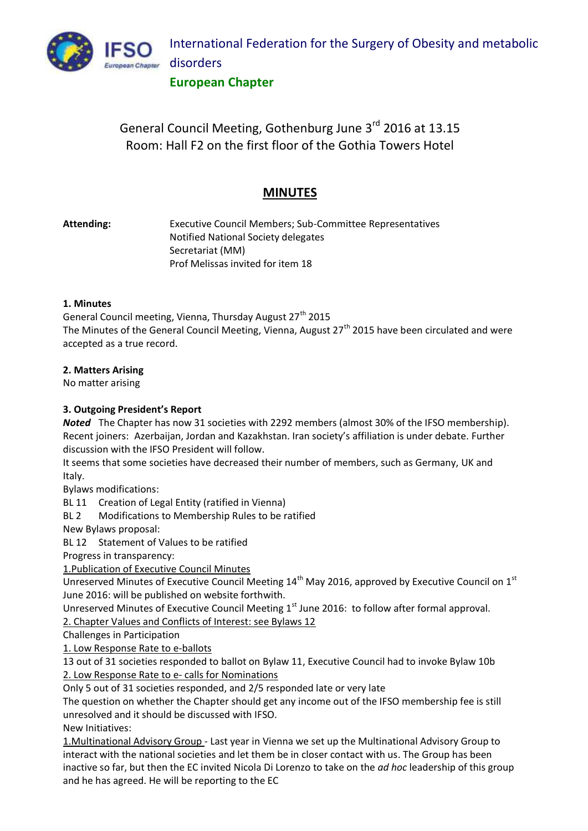

### **European Chapter**

# General Council Meeting, Gothenburg June 3rd 2016 at 13.15 Room: Hall F2 on the first floor of the Gothia Towers Hotel

## **MINUTES**

**Attending:** Executive Council Members; Sub-Committee Representatives Notified National Society delegates Secretariat (MM) Prof Melissas invited for item 18

### **1. Minutes**

General Council meeting, Vienna, Thursday August 27<sup>th</sup> 2015 The Minutes of the General Council Meeting, Vienna, August 27<sup>th</sup> 2015 have been circulated and were accepted as a true record.

### **2. Matters Arising**

No matter arising

### **3. Outgoing President's Report**

*Noted* The Chapter has now 31 societies with 2292 members (almost 30% of the IFSO membership). Recent joiners: Azerbaijan, Jordan and Kazakhstan. Iran society's affiliation is under debate. Further discussion with the IFSO President will follow.

It seems that some societies have decreased their number of members, such as Germany, UK and Italy.

Bylaws modifications:

BL 11 Creation of Legal Entity (ratified in Vienna)

BL 2 Modifications to Membership Rules to be ratified

New Bylaws proposal:

BL 12 Statement of Values to be ratified

Progress in transparency:

1.Publication of Executive Council Minutes

Unreserved Minutes of Executive Council Meeting 14<sup>th</sup> May 2016, approved by Executive Council on 1<sup>st</sup> June 2016: will be published on website forthwith.

Unreserved Minutes of Executive Council Meeting  $1<sup>st</sup>$  June 2016: to follow after formal approval.

2. Chapter Values and Conflicts of Interest: see Bylaws 12

Challenges in Participation

1. Low Response Rate to e-ballots

13 out of 31 societies responded to ballot on Bylaw 11, Executive Council had to invoke Bylaw 10b 2. Low Response Rate to e- calls for Nominations

Only 5 out of 31 societies responded, and 2/5 responded late or very late

The question on whether the Chapter should get any income out of the IFSO membership fee is still unresolved and it should be discussed with IFSO.

New Initiatives:

1.Multinational Advisory Group - Last year in Vienna we set up the Multinational Advisory Group to interact with the national societies and let them be in closer contact with us. The Group has been inactive so far, but then the EC invited Nicola Di Lorenzo to take on the *ad hoc* leadership of this group and he has agreed. He will be reporting to the EC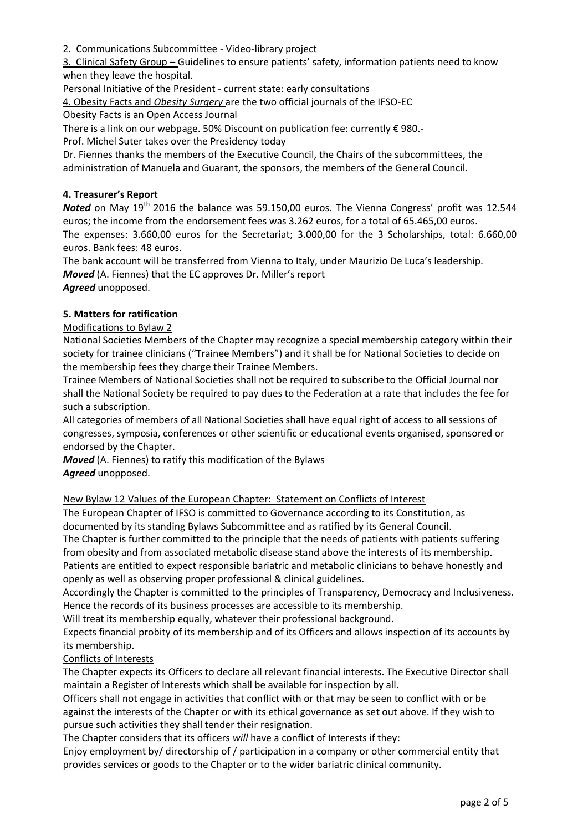2. Communications Subcommittee - Video-library project

3. Clinical Safety Group – Guidelines to ensure patients' safety, information patients need to know when they leave the hospital.

Personal Initiative of the President - current state: early consultations

4. Obesity Facts and *Obesity Surgery* are the two official journals of the IFSO-EC

Obesity Facts is an Open Access Journal

There is a link on our webpage. 50% Discount on publication fee: currently € 980.-

Prof. Michel Suter takes over the Presidency today

Dr. Fiennes thanks the members of the Executive Council, the Chairs of the subcommittees, the administration of Manuela and Guarant, the sponsors, the members of the General Council.

#### **4. Treasurer's Report**

Noted on May 19<sup>th</sup> 2016 the balance was 59.150,00 euros. The Vienna Congress' profit was 12.544 euros; the income from the endorsement fees was 3.262 euros, for a total of 65.465,00 euros. The expenses: 3.660,00 euros for the Secretariat; 3.000,00 for the 3 Scholarships, total: 6.660,00 euros. Bank fees: 48 euros.

The bank account will be transferred from Vienna to Italy, under Maurizio De Luca's leadership. *Moved* (A. Fiennes) that the EC approves Dr. Miller's report

*Agreed* unopposed.

### **5. Matters for ratification**

### Modifications to Bylaw 2

National Societies Members of the Chapter may recognize a special membership category within their society for trainee clinicians ("Trainee Members") and it shall be for National Societies to decide on the membership fees they charge their Trainee Members.

Trainee Members of National Societies shall not be required to subscribe to the Official Journal nor shall the National Society be required to pay dues to the Federation at a rate that includes the fee for such a subscription.

All categories of members of all National Societies shall have equal right of access to all sessions of congresses, symposia, conferences or other scientific or educational events organised, sponsored or endorsed by the Chapter.

*Moved* (A. Fiennes) to ratify this modification of the Bylaws *Agreed* unopposed.

#### New Bylaw 12 Values of the European Chapter: Statement on Conflicts of Interest

The European Chapter of IFSO is committed to Governance according to its Constitution, as documented by its standing Bylaws Subcommittee and as ratified by its General Council.

The Chapter is further committed to the principle that the needs of patients with patients suffering from obesity and from associated metabolic disease stand above the interests of its membership. Patients are entitled to expect responsible bariatric and metabolic clinicians to behave honestly and openly as well as observing proper professional & clinical guidelines.

Accordingly the Chapter is committed to the principles of Transparency, Democracy and Inclusiveness. Hence the records of its business processes are accessible to its membership.

Will treat its membership equally, whatever their professional background.

Expects financial probity of its membership and of its Officers and allows inspection of its accounts by its membership.

#### Conflicts of Interests

The Chapter expects its Officers to declare all relevant financial interests. The Executive Director shall maintain a Register of Interests which shall be available for inspection by all.

Officers shall not engage in activities that conflict with or that may be seen to conflict with or be against the interests of the Chapter or with its ethical governance as set out above. If they wish to pursue such activities they shall tender their resignation.

The Chapter considers that its officers *will* have a conflict of Interests if they:

Enjoy employment by/ directorship of / participation in a company or other commercial entity that provides services or goods to the Chapter or to the wider bariatric clinical community.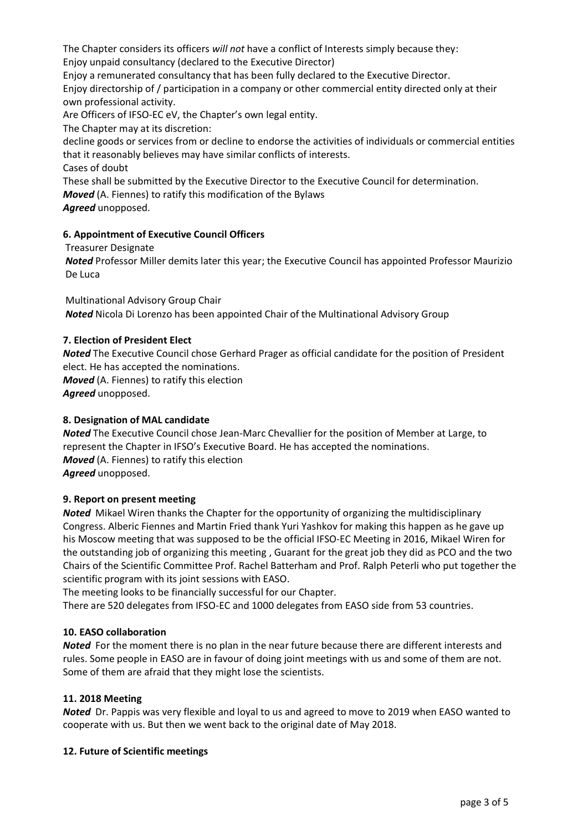The Chapter considers its officers *will not* have a conflict of Interests simply because they:

Enjoy unpaid consultancy (declared to the Executive Director)

Enjoy a remunerated consultancy that has been fully declared to the Executive Director. Enjoy directorship of / participation in a company or other commercial entity directed only at their own professional activity.

Are Officers of IFSO-EC eV, the Chapter's own legal entity.

The Chapter may at its discretion:

decline goods or services from or decline to endorse the activities of individuals or commercial entities that it reasonably believes may have similar conflicts of interests.

Cases of doubt

These shall be submitted by the Executive Director to the Executive Council for determination.

*Moved* (A. Fiennes) to ratify this modification of the Bylaws

*Agreed* unopposed.

### **6. Appointment of Executive Council Officers**

Treasurer Designate

*Noted* Professor Miller demits later this year; the Executive Council has appointed Professor Maurizio De Luca

Multinational Advisory Group Chair *Noted* Nicola Di Lorenzo has been appointed Chair of the Multinational Advisory Group

### **7. Election of President Elect**

*Noted* The Executive Council chose Gerhard Prager as official candidate for the position of President elect. He has accepted the nominations.

*Moved* (A. Fiennes) to ratify this election *Agreed* unopposed.

### **8. Designation of MAL candidate**

*Noted* The Executive Council chose Jean-Marc Chevallier for the position of Member at Large, to represent the Chapter in IFSO's Executive Board. He has accepted the nominations. *Moved* (A. Fiennes) to ratify this election *Agreed* unopposed.

### **9. Report on present meeting**

*Noted* Mikael Wiren thanks the Chapter for the opportunity of organizing the multidisciplinary Congress. Alberic Fiennes and Martin Fried thank Yuri Yashkov for making this happen as he gave up his Moscow meeting that was supposed to be the official IFSO-EC Meeting in 2016, Mikael Wiren for the outstanding job of organizing this meeting , Guarant for the great job they did as PCO and the two Chairs of the Scientific Committee Prof. Rachel Batterham and Prof. Ralph Peterli who put together the scientific program with its joint sessions with EASO.

The meeting looks to be financially successful for our Chapter.

There are 520 delegates from IFSO-EC and 1000 delegates from EASO side from 53 countries.

### **10. EASO collaboration**

*Noted* For the moment there is no plan in the near future because there are different interests and rules. Some people in EASO are in favour of doing joint meetings with us and some of them are not. Some of them are afraid that they might lose the scientists.

### **11. 2018 Meeting**

*Noted* Dr. Pappis was very flexible and loyal to us and agreed to move to 2019 when EASO wanted to cooperate with us. But then we went back to the original date of May 2018.

### **12. Future of Scientific meetings**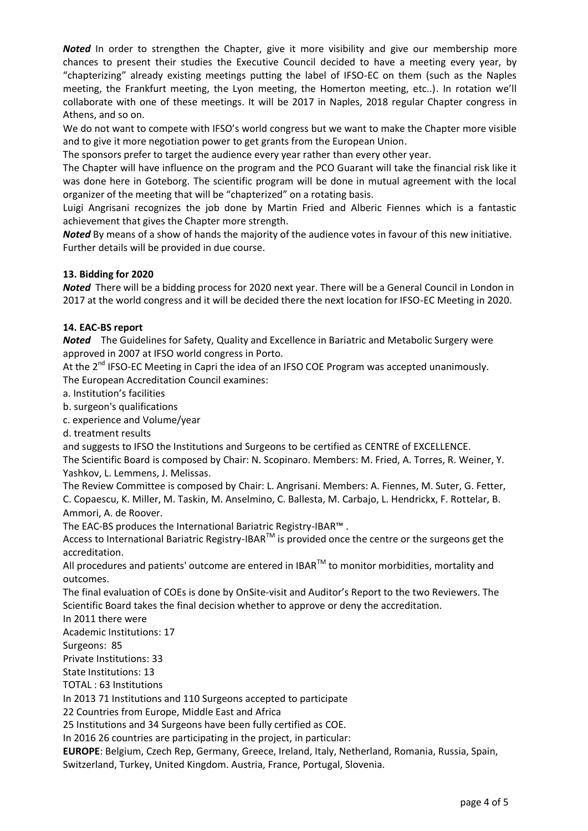**Noted** In order to strengthen the Chapter, give it more visibility and give our membership more chances to present their studies the Executive Council decided to have a meeting every year, by "chapterizing" already existing meetings putting the label of IFSO-EC on them (such as the Naples meeting, the Frankfurt meeting, the Lyon meeting, the Homerton meeting, etc..). In rotation we'll collaborate with one of these meetings. It will be 2017 in Naples, 2018 regular Chapter congress in Athens, and so on.

We do not want to compete with IFSO's world congress but we want to make the Chapter more visible and to give it more negotiation power to get grants from the European Union.

The sponsors prefer to target the audience every year rather than every other year.

The Chapter will have influence on the program and the PCO Guarant will take the financial risk like it was done here in Goteborg. The scientific program will be done in mutual agreement with the local organizer of the meeting that will be "chapterized" on a rotating basis.

Luigi Angrisani recognizes the job done by Martin Fried and Alberic Fiennes which is a fantastic achievement that gives the Chapter more strength.

*Noted* By means of a show of hands the majority of the audience votes in favour of this new initiative. Further details will be provided in due course.

### **13. Bidding for 2020**

*Noted* There will be a bidding process for 2020 next year. There will be a General Council in London in 2017 at the world congress and it will be decided there the next location for IFSO-EC Meeting in 2020.

### **14. EAC-BS report**

*Noted* The Guidelines for Safety, Quality and Excellence in Bariatric and Metabolic Surgery were approved in 2007 at IFSO world congress in Porto.

At the 2<sup>nd</sup> IFSO-EC Meeting in Capri the idea of an IFSO COE Program was accepted unanimously. The European Accreditation Council examines:

a. Institution's facilities

b. surgeon's qualifications

c. experience and Volume/year

d. treatment results

and suggests to IFSO the Institutions and Surgeons to be certified as CENTRE of EXCELLENCE.

The Scientific Board is composed by Chair: N. Scopinaro. Members: M. Fried, A. Torres, R. Weiner, Y. Yashkov, L. Lemmens, J. Melissas.

The Review Committee is composed by Chair: L. Angrisani. Members: A. Fiennes, M. Suter, G. Fetter, C. Copaescu, K. Miller, M. Taskin, M. Anselmino, C. Ballesta, M. Carbajo, L. Hendrickx, F. Rottelar, B. Ammori, A. de Roover.

The EAC-BS produces the International Bariatric Registry-IBAR™ .

Access to International Bariatric Registry-IBAR<sup>TM</sup> is provided once the centre or the surgeons get the accreditation.

All procedures and patients' outcome are entered in IBAR $^{TM}$  to monitor morbidities, mortality and outcomes.

The final evaluation of COEs is done by OnSite-visit and Auditor's Report to the two Reviewers. The Scientific Board takes the final decision whether to approve or deny the accreditation.

In 2011 there were

Academic Institutions: 17

Surgeons: 85

Private Institutions: 33

State Institutions: 13

TOTAL : 63 Institutions

In 2013 71 Institutions and 110 Surgeons accepted to participate

22 Countries from Europe, Middle East and Africa

25 Institutions and 34 Surgeons have been fully certified as COE.

In 2016 26 countries are participating in the project, in particular:

**EUROPE**: Belgium, Czech Rep, Germany, Greece, Ireland, Italy, Netherland, Romania, Russia, Spain, Switzerland, Turkey, United Kingdom. Austria, France, Portugal, Slovenia.